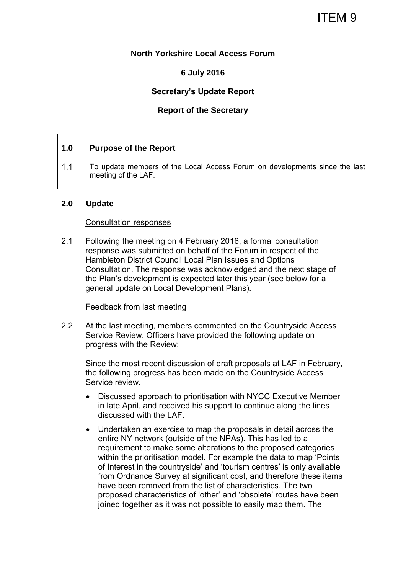# ITEM 9

### **North Yorkshire Local Access Forum**

# **6 July 2016**

# **Secretary's Update Report**

# **Report of the Secretary**

#### **1.0 Purpose of the Report**

1.1 To update members of the Local Access Forum on developments since the last meeting of the LAF.

#### **2.0 Update**

#### Consultation responses

2.1 Following the meeting on 4 February 2016, a formal consultation response was submitted on behalf of the Forum in respect of the Hambleton District Council Local Plan Issues and Options Consultation. The response was acknowledged and the next stage of the Plan's development is expected later this year (see below for a general update on Local Development Plans).

#### Feedback from last meeting

2.2 At the last meeting, members commented on the Countryside Access Service Review. Officers have provided the following update on progress with the Review:

Since the most recent discussion of draft proposals at LAF in February, the following progress has been made on the Countryside Access Service review.

- Discussed approach to prioritisation with NYCC Executive Member in late April, and received his support to continue along the lines discussed with the LAF.
- Undertaken an exercise to map the proposals in detail across the entire NY network (outside of the NPAs). This has led to a requirement to make some alterations to the proposed categories within the prioritisation model. For example the data to map 'Points of Interest in the countryside' and 'tourism centres' is only available from Ordnance Survey at significant cost, and therefore these items have been removed from the list of characteristics. The two proposed characteristics of 'other' and 'obsolete' routes have been joined together as it was not possible to easily map them. The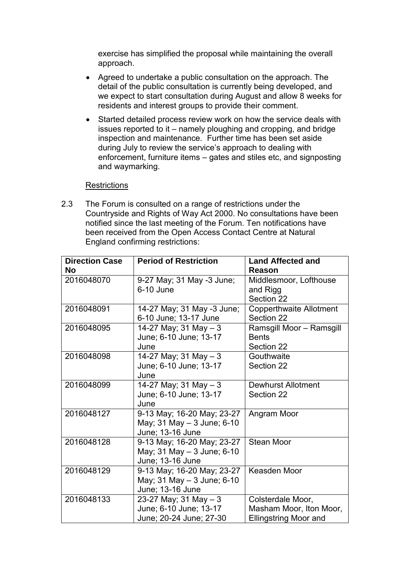exercise has simplified the proposal while maintaining the overall approach.

- Agreed to undertake a public consultation on the approach. The detail of the public consultation is currently being developed, and we expect to start consultation during August and allow 8 weeks for residents and interest groups to provide their comment.
- Started detailed process review work on how the service deals with issues reported to it – namely ploughing and cropping, and bridge inspection and maintenance. Further time has been set aside during July to review the service's approach to dealing with enforcement, furniture items – gates and stiles etc, and signposting and waymarking.

### **Restrictions**

2.3 The Forum is consulted on a range of restrictions under the Countryside and Rights of Way Act 2000. No consultations have been notified since the last meeting of the Forum. Ten notifications have been received from the Open Access Contact Centre at Natural England confirming restrictions:

| <b>Direction Case</b><br>No | <b>Period of Restriction</b>                                                 | <b>Land Affected and</b><br>Reason                                           |
|-----------------------------|------------------------------------------------------------------------------|------------------------------------------------------------------------------|
| 2016048070                  | 9-27 May; 31 May -3 June;<br>6-10 June                                       | Middlesmoor, Lofthouse<br>and Rigg<br>Section 22                             |
| 2016048091                  | 14-27 May; 31 May -3 June;<br>6-10 June; 13-17 June                          | <b>Copperthwaite Allotment</b><br>Section 22                                 |
| 2016048095                  | 14-27 May; 31 May $-3$<br>June; 6-10 June; 13-17<br>June                     | Ramsgill Moor - Ramsgill<br><b>Bents</b><br>Section 22                       |
| 2016048098                  | 14-27 May; 31 May $-3$<br>June; 6-10 June; 13-17<br>June                     | Gouthwaite<br>Section 22                                                     |
| 2016048099                  | $14-27$ May; 31 May $-3$<br>June; 6-10 June; 13-17<br>June                   | <b>Dewhurst Allotment</b><br>Section 22                                      |
| 2016048127                  | 9-13 May; 16-20 May; 23-27<br>May; 31 May - 3 June; 6-10<br>June; 13-16 June | Angram Moor                                                                  |
| 2016048128                  | 9-13 May; 16-20 May; 23-27<br>May; 31 May - 3 June; 6-10<br>June; 13-16 June | <b>Stean Moor</b>                                                            |
| 2016048129                  | 9-13 May; 16-20 May; 23-27<br>May; 31 May - 3 June; 6-10<br>June; 13-16 June | Keasden Moor                                                                 |
| 2016048133                  | 23-27 May; 31 May $-3$<br>June; 6-10 June; 13-17<br>June; 20-24 June; 27-30  | Colsterdale Moor,<br>Masham Moor, Iton Moor,<br><b>Ellingstring Moor and</b> |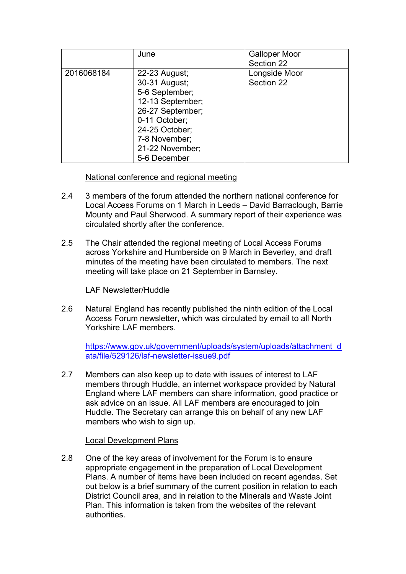|            | June                                                                                                                                                                            | <b>Galloper Moor</b><br>Section 22 |
|------------|---------------------------------------------------------------------------------------------------------------------------------------------------------------------------------|------------------------------------|
| 2016068184 | 22-23 August;<br>30-31 August;<br>5-6 September;<br>12-13 September;<br>26-27 September;<br>0-11 October;<br>24-25 October;<br>7-8 November;<br>21-22 November;<br>5-6 December | Longside Moor<br>Section 22        |

# National conference and regional meeting

- 2.4 3 members of the forum attended the northern national conference for Local Access Forums on 1 March in Leeds – David Barraclough, Barrie Mounty and Paul Sherwood. A summary report of their experience was circulated shortly after the conference.
- 2.5 The Chair attended the regional meeting of Local Access Forums across Yorkshire and Humberside on 9 March in Beverley, and draft minutes of the meeting have been circulated to members. The next meeting will take place on 21 September in Barnsley.

# LAF Newsletter/Huddle

2.6 Natural England has recently published the ninth edition of the Local Access Forum newsletter, which was circulated by email to all North Yorkshire LAF members.

[https://www.gov.uk/government/uploads/system/uploads/attachment\\_d](https://www.gov.uk/government/uploads/system/uploads/attachment_data/file/529126/laf-newsletter-issue9.pdf) [ata/file/529126/laf-newsletter-issue9.pdf](https://www.gov.uk/government/uploads/system/uploads/attachment_data/file/529126/laf-newsletter-issue9.pdf)

2.7 Members can also keep up to date with issues of interest to LAF members through Huddle, an internet workspace provided by Natural England where LAF members can share information, good practice or ask advice on an issue. All LAF members are encouraged to join Huddle. The Secretary can arrange this on behalf of any new LAF members who wish to sign up.

# Local Development Plans

2.8 One of the key areas of involvement for the Forum is to ensure appropriate engagement in the preparation of Local Development Plans. A number of items have been included on recent agendas. Set out below is a brief summary of the current position in relation to each District Council area, and in relation to the Minerals and Waste Joint Plan. This information is taken from the websites of the relevant authorities.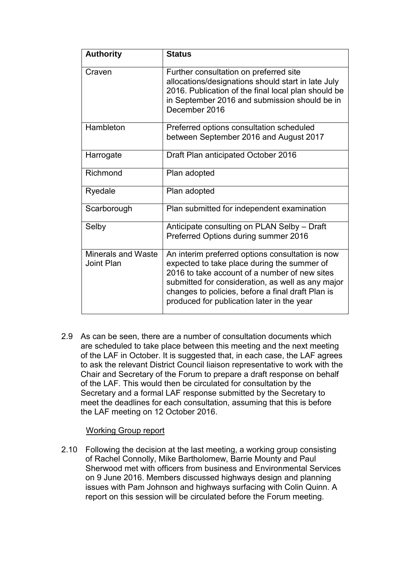| <b>Authority</b>                        | <b>Status</b>                                                                                                                                                                                                                                                                                            |
|-----------------------------------------|----------------------------------------------------------------------------------------------------------------------------------------------------------------------------------------------------------------------------------------------------------------------------------------------------------|
| Craven                                  | Further consultation on preferred site<br>allocations/designations should start in late July<br>2016. Publication of the final local plan should be<br>in September 2016 and submission should be in<br>December 2016                                                                                    |
| Hambleton                               | Preferred options consultation scheduled<br>between September 2016 and August 2017                                                                                                                                                                                                                       |
| Harrogate                               | Draft Plan anticipated October 2016                                                                                                                                                                                                                                                                      |
| Richmond                                | Plan adopted                                                                                                                                                                                                                                                                                             |
| Ryedale                                 | Plan adopted                                                                                                                                                                                                                                                                                             |
| Scarborough                             | Plan submitted for independent examination                                                                                                                                                                                                                                                               |
| Selby                                   | Anticipate consulting on PLAN Selby - Draft<br>Preferred Options during summer 2016                                                                                                                                                                                                                      |
| <b>Minerals and Waste</b><br>Joint Plan | An interim preferred options consultation is now<br>expected to take place during the summer of<br>2016 to take account of a number of new sites<br>submitted for consideration, as well as any major<br>changes to policies, before a final draft Plan is<br>produced for publication later in the year |

2.9 As can be seen, there are a number of consultation documents which are scheduled to take place between this meeting and the next meeting of the LAF in October. It is suggested that, in each case, the LAF agrees to ask the relevant District Council liaison representative to work with the Chair and Secretary of the Forum to prepare a draft response on behalf of the LAF. This would then be circulated for consultation by the Secretary and a formal LAF response submitted by the Secretary to meet the deadlines for each consultation, assuming that this is before the LAF meeting on 12 October 2016.

# Working Group report

2.10 Following the decision at the last meeting, a working group consisting of Rachel Connolly, Mike Bartholomew, Barrie Mounty and Paul Sherwood met with officers from business and Environmental Services on 9 June 2016. Members discussed highways design and planning issues with Pam Johnson and highways surfacing with Colin Quinn. A report on this session will be circulated before the Forum meeting.